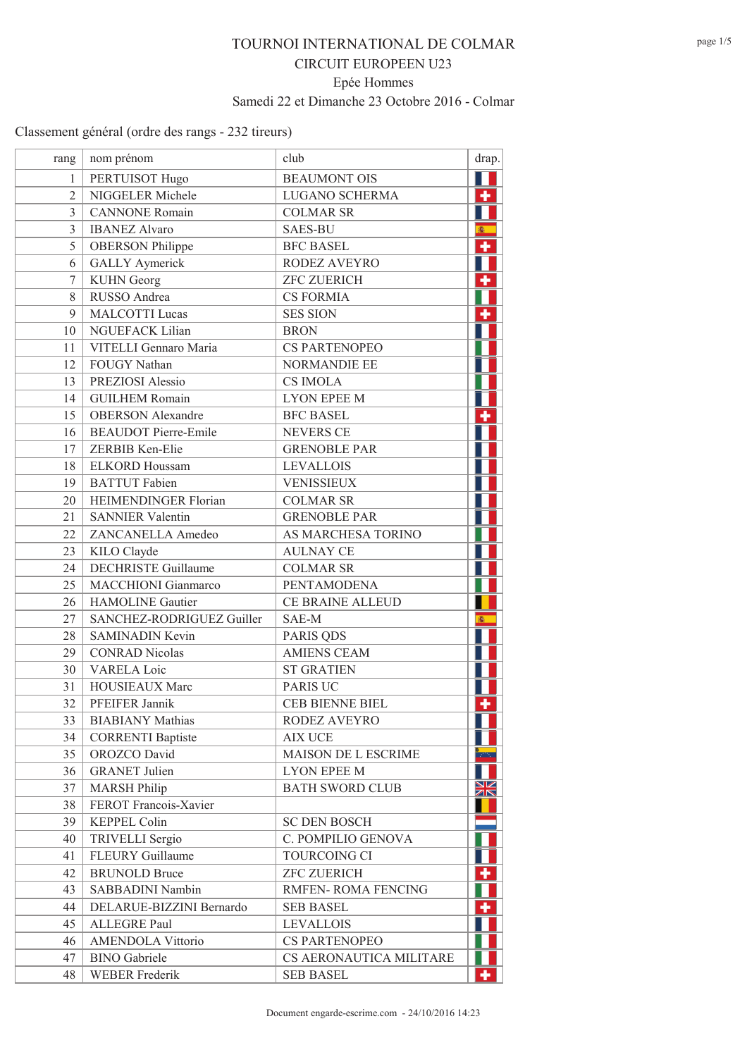## TOURNOI INTERNATIONAL DE COLMAR **CIRCUIT EUROPEEN U23** Epée Hommes Samedi 22 et Dimanche 23 Octobre 2016 - Colmar

| rang           | nom prénom                  | club                    | drap. |
|----------------|-----------------------------|-------------------------|-------|
| $\mathbf{1}$   | PERTUISOT Hugo              | <b>BEAUMONT OIS</b>     |       |
| $\overline{2}$ | NIGGELER Michele            | <b>LUGANO SCHERMA</b>   |       |
| 3              | <b>CANNONE</b> Romain       | <b>COLMAR SR</b>        |       |
| $\overline{3}$ | <b>IBANEZ Alvaro</b>        | <b>SAES-BU</b>          |       |
| 5              | <b>OBERSON</b> Philippe     | <b>BFC BASEL</b>        | ٠     |
| 6              | <b>GALLY</b> Aymerick       | RODEZ AVEYRO            |       |
| 7              | <b>KUHN</b> Georg           | <b>ZFC ZUERICH</b>      |       |
| 8              | RUSSO Andrea                | <b>CS FORMIA</b>        |       |
| 9              | <b>MALCOTTI</b> Lucas       | <b>SES SION</b>         |       |
| 10             | NGUEFACK Lilian             | <b>BRON</b>             |       |
| 11             | VITELLI Gennaro Maria       | <b>CS PARTENOPEO</b>    |       |
| 12             | FOUGY Nathan                | NORMANDIE EE            |       |
| 13             | PREZIOSI Alessio            | <b>CS IMOLA</b>         |       |
| 14             | <b>GUILHEM Romain</b>       | <b>LYON EPEE M</b>      |       |
| 15             | <b>OBERSON</b> Alexandre    | <b>BFC BASEL</b>        |       |
| 16             | <b>BEAUDOT</b> Pierre-Emile | <b>NEVERS CE</b>        |       |
| 17             | ZERBIB Ken-Elie             | <b>GRENOBLE PAR</b>     |       |
| 18             | <b>ELKORD Houssam</b>       | <b>LEVALLOIS</b>        |       |
| 19             | <b>BATTUT</b> Fabien        | <b>VENISSIEUX</b>       |       |
| 20             | <b>HEIMENDINGER Florian</b> | <b>COLMAR SR</b>        |       |
| 21             | <b>SANNIER Valentin</b>     | <b>GRENOBLE PAR</b>     |       |
| 22             | ZANCANELLA Amedeo           | AS MARCHESA TORINO      |       |
| 23             | KILO Clayde                 | <b>AULNAY CE</b>        |       |
| 24             | <b>DECHRISTE Guillaume</b>  | <b>COLMAR SR</b>        |       |
| 25             | <b>MACCHIONI</b> Gianmarco  | PENTAMODENA             |       |
| 26             | <b>HAMOLINE</b> Gautier     | CE BRAINE ALLEUD        |       |
| 27             | SANCHEZ-RODRIGUEZ Guiller   | SAE-M                   |       |
| 28             | <b>SAMINADIN Kevin</b>      | <b>PARIS QDS</b>        |       |
| 29             | <b>CONRAD Nicolas</b>       | <b>AMIENS CEAM</b>      |       |
| 30             | <b>VARELA Loic</b>          | <b>ST GRATIEN</b>       |       |
| 31             | HOUSIEAUX Marc              | <b>PARIS UC</b>         |       |
| 32             | PFEIFER Jannik              | <b>CEB BIENNE BIEL</b>  | ٠     |
| 33             | <b>BIABIANY</b> Mathias     | RODEZ AVEYRO            |       |
| 34             | <b>CORRENTI Baptiste</b>    | <b>AIX UCE</b>          |       |
| 35             | OROZCO David                | MAISON DE L ESCRIME     |       |
| 36             | <b>GRANET</b> Julien        | <b>LYON EPEE M</b>      |       |
| 37             | <b>MARSH Philip</b>         | <b>BATH SWORD CLUB</b>  | Ж     |
| 38             | FEROT Francois-Xavier       |                         |       |
| 39             | <b>KEPPEL Colin</b>         | <b>SC DEN BOSCH</b>     |       |
| 40             | <b>TRIVELLI Sergio</b>      | C. POMPILIO GENOVA      |       |
| 41             | FLEURY Guillaume            | TOURCOING CI            |       |
| 42             | <b>BRUNOLD Bruce</b>        | <b>ZFC ZUERICH</b>      |       |
| 43             | SABBADINI Nambin            | RMFEN-ROMA FENCING      |       |
| 44             | DELARUE-BIZZINI Bernardo    | <b>SEB BASEL</b>        | ۰     |
| 45             | <b>ALLEGRE Paul</b>         | <b>LEVALLOIS</b>        |       |
| 46             | <b>AMENDOLA Vittorio</b>    | <b>CS PARTENOPEO</b>    |       |
| 47             | <b>BINO</b> Gabriele        | CS AERONAUTICA MILITARE |       |
| 48             | <b>WEBER Frederik</b>       | <b>SEB BASEL</b>        |       |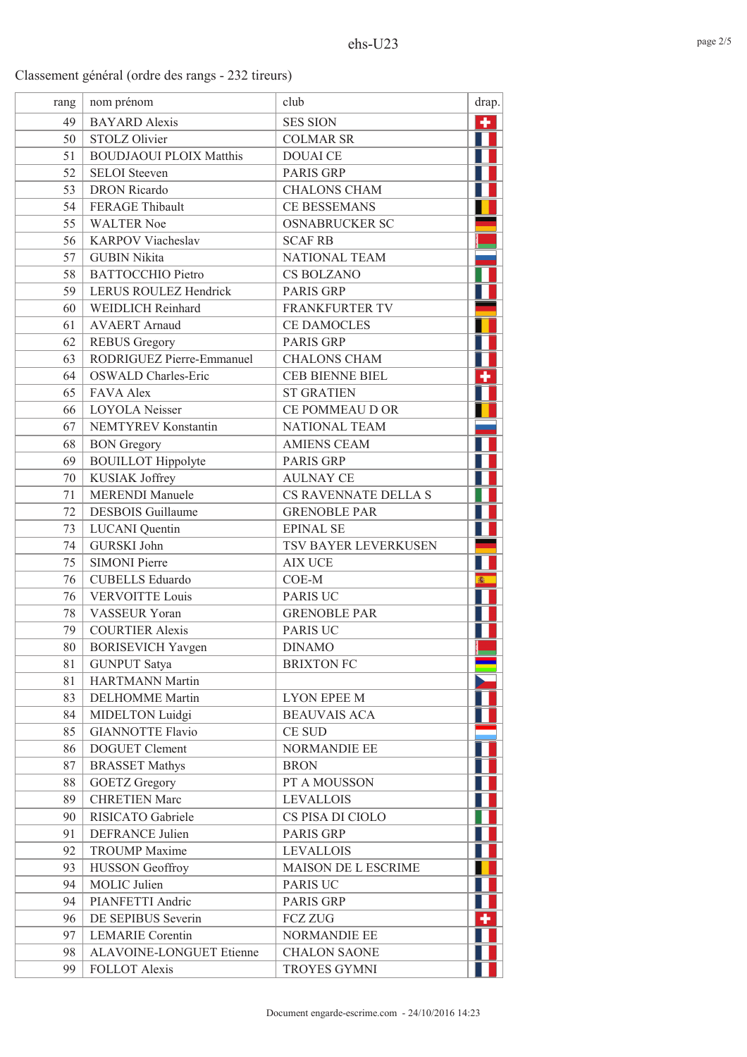$\overline{drap.}$  $\overline{\textbf{r}}$ 

| rang | nom prénom                     | club                   |
|------|--------------------------------|------------------------|
| 49   | <b>BAYARD</b> Alexis           | <b>SES SION</b>        |
| 50   | STOLZ Olivier                  | <b>COLMAR SR</b>       |
| 51   | <b>BOUDJAOUI PLOIX Matthis</b> | <b>DOUAI CE</b>        |
| 52   | <b>SELOI</b> Steeven           | <b>PARIS GRP</b>       |
| 53   | <b>DRON</b> Ricardo            | <b>CHALONS CHAM</b>    |
| 54   | FERAGE Thibault                | <b>CE BESSEMANS</b>    |
| 55   | <b>WALTER Noe</b>              | <b>OSNABRUCKER SC</b>  |
| 56   | <b>KARPOV Viacheslav</b>       | <b>SCAF RB</b>         |
| 57   | <b>GUBIN Nikita</b>            | <b>NATIONAL TEAM</b>   |
| 58   | <b>BATTOCCHIO Pietro</b>       | <b>CS BOLZANO</b>      |
| 59   | <b>LERUS ROULEZ Hendrick</b>   | <b>PARIS GRP</b>       |
| 60   | WEIDLICH Reinhard              | FRANKFURTER TV         |
| 61   | <b>AVAERT</b> Arnaud           | <b>CE DAMOCLES</b>     |
| 62   | <b>REBUS</b> Gregory           | <b>PARIS GRP</b>       |
| 63   | RODRIGUEZ Pierre-Emmanuel      | <b>CHALONS CHAM</b>    |
| 64   | OSWALD Charles-Eric            | <b>CEB BIENNE BIEL</b> |
| 65   | <b>FAVA Alex</b>               | <b>ST GRATIEN</b>      |
| 66   | <b>LOYOLA Neisser</b>          | <b>CE POMMEAU D OR</b> |
| 67   | NEMTYREV Konstantin            | <b>NATIONAL TEAM</b>   |
| 68   | <b>BON</b> Gregory             | <b>AMIENS CEAM</b>     |
| 69   | <b>BOUILLOT</b> Hippolyte      | <b>PARIS GRP</b>       |
| 70   | KUSIAK Joffrey                 | <b>AULNAY CE</b>       |
| 71   | <b>MERENDI</b> Manuele         | CS RAVENNATE DELLA     |
| 72   | <b>DESBOIS</b> Guillaume       | <b>GRENOBLE PAR</b>    |
| 73   | <b>LUCANI</b> Quentin          | <b>EPINAL SE</b>       |
| 74   | <b>GURSKI</b> John             | TSV BAYER LEVERKUS     |
| 75   | <b>SIMONI Pierre</b>           | <b>AIX UCE</b>         |
| 76   | <b>CUBELLS Eduardo</b>         | COE-M                  |
| 76   | <b>VERVOITTE Louis</b>         | <b>PARIS UC</b>        |
| 78   | <b>VASSEUR Yoran</b>           | <b>GRENOBLE PAR</b>    |
| 79   | <b>COURTIER Alexis</b>         | <b>PARIS UC</b>        |
| 80.  | <b>BORISEVICH Yavgen</b>       | <b>DINAMO</b>          |

| <b>PARIS GRP</b><br>52<br><b>SELOI</b> Steeven<br><b>DRON</b> Ricardo<br>53<br><b>CHALONS CHAM</b><br>54<br>FERAGE Thibault<br><b>CE BESSEMANS</b><br><b>WALTER Noe</b><br>55<br><b>OSNABRUCKER SC</b><br><b>KARPOV Viacheslav</b><br><b>SCAF RB</b><br>56<br>57<br><b>GUBIN Nikita</b><br><b>NATIONAL TEAM</b><br><b>BATTOCCHIO Pietro</b><br>58<br><b>CS BOLZANO</b><br>LERUS ROULEZ Hendrick<br>59<br><b>PARIS GRP</b><br><b>WEIDLICH Reinhard</b><br><b>FRANKFURTER TV</b><br>60<br>61<br><b>AVAERT</b> Arnaud<br><b>CE DAMOCLES</b><br>62<br><b>REBUS Gregory</b><br><b>PARIS GRP</b><br>RODRIGUEZ Pierre-Emmanuel<br>63<br><b>CHALONS CHAM</b><br><b>OSWALD Charles-Eric</b><br>64<br>CEB BIENNE BIEL<br>65<br>FAVA Alex<br><b>ST GRATIEN</b><br><b>LOYOLA Neisser</b><br>66<br>CE POMMEAU D OR<br><b>NEMTYREV</b> Konstantin<br>NATIONAL TEAM<br>67<br><b>BON</b> Gregory<br><b>AMIENS CEAM</b><br>68<br><b>BOUILLOT</b> Hippolyte<br>69<br><b>PARIS GRP</b><br>KUSIAK Joffrey<br>70<br><b>AULNAY CE</b><br><b>MERENDI</b> Manuele<br>CS RAVENNATE DELLA S<br>71<br><b>DESBOIS</b> Guillaume<br>72<br><b>GRENOBLE PAR</b><br><b>LUCANI</b> Quentin<br>73<br><b>EPINAL SE</b><br><b>GURSKI</b> John<br>74<br>TSV BAYER LEVERKUSEN<br><b>SIMONI Pierre</b><br>75<br><b>AIX UCE</b><br><b>CUBELLS</b> Eduardo<br>COE-M<br>76<br><b>VERVOITTE Louis</b><br><b>PARIS UC</b><br>76<br>78<br><b>VASSEUR Yoran</b><br><b>GRENOBLE PAR</b><br>79<br><b>COURTIER Alexis</b><br><b>PARIS UC</b><br>80<br><b>BORISEVICH Yavgen</b><br><b>DINAMO</b><br><b>GUNPUT Satya</b><br>81<br><b>BRIXTON FC</b><br><b>HARTMANN Martin</b><br>81<br><b>DELHOMME</b> Martin<br>83<br><b>LYON EPEE M</b><br>MIDELTON Luidgi<br>84<br><b>BEAUVAIS ACA</b><br>85<br><b>GIANNOTTE Flavio</b><br><b>CE SUD</b><br><b>DOGUET</b> Clement<br>NORMANDIE EE<br>86<br>87<br><b>BRASSET Mathys</b><br><b>BRON</b><br>88<br><b>GOETZ</b> Gregory<br>PT A MOUSSON<br><b>CHRETIEN Marc</b><br><b>LEVALLOIS</b><br>89<br>90<br>RISICATO Gabriele<br>CS PISA DI CIOLO<br>DEFRANCE Julien<br>PARIS GRP<br>91<br><b>TROUMP</b> Maxime<br><b>LEVALLOIS</b><br>92<br>93<br>HUSSON Geoffroy<br>MAISON DE L ESCRIME<br>MOLIC Julien<br>94<br><b>PARIS UC</b><br>PIANFETTI Andric<br>PARIS GRP<br>94<br>DE SEPIBUS Severin<br><b>FCZ ZUG</b><br>96<br>97<br><b>LEMARIE</b> Corentin<br>NORMANDIE EE<br>ALAVOINE-LONGUET Etienne<br>98<br><b>CHALON SAONE</b><br>99<br>FOLLOT Alexis<br>TROYES GYMNI | 51 | <b>BOUDJAOUI PLOIX Matthis</b> | DOUAL CE |  |
|-------------------------------------------------------------------------------------------------------------------------------------------------------------------------------------------------------------------------------------------------------------------------------------------------------------------------------------------------------------------------------------------------------------------------------------------------------------------------------------------------------------------------------------------------------------------------------------------------------------------------------------------------------------------------------------------------------------------------------------------------------------------------------------------------------------------------------------------------------------------------------------------------------------------------------------------------------------------------------------------------------------------------------------------------------------------------------------------------------------------------------------------------------------------------------------------------------------------------------------------------------------------------------------------------------------------------------------------------------------------------------------------------------------------------------------------------------------------------------------------------------------------------------------------------------------------------------------------------------------------------------------------------------------------------------------------------------------------------------------------------------------------------------------------------------------------------------------------------------------------------------------------------------------------------------------------------------------------------------------------------------------------------------------------------------------------------------------------------------------------------------------------------------------------------------------------------------------------------------------------------------------------------------------------------------------------------------------------------------------------------------------------------------------------------------------------------------------|----|--------------------------------|----------|--|
|                                                                                                                                                                                                                                                                                                                                                                                                                                                                                                                                                                                                                                                                                                                                                                                                                                                                                                                                                                                                                                                                                                                                                                                                                                                                                                                                                                                                                                                                                                                                                                                                                                                                                                                                                                                                                                                                                                                                                                                                                                                                                                                                                                                                                                                                                                                                                                                                                                                             |    |                                |          |  |
|                                                                                                                                                                                                                                                                                                                                                                                                                                                                                                                                                                                                                                                                                                                                                                                                                                                                                                                                                                                                                                                                                                                                                                                                                                                                                                                                                                                                                                                                                                                                                                                                                                                                                                                                                                                                                                                                                                                                                                                                                                                                                                                                                                                                                                                                                                                                                                                                                                                             |    |                                |          |  |
|                                                                                                                                                                                                                                                                                                                                                                                                                                                                                                                                                                                                                                                                                                                                                                                                                                                                                                                                                                                                                                                                                                                                                                                                                                                                                                                                                                                                                                                                                                                                                                                                                                                                                                                                                                                                                                                                                                                                                                                                                                                                                                                                                                                                                                                                                                                                                                                                                                                             |    |                                |          |  |
|                                                                                                                                                                                                                                                                                                                                                                                                                                                                                                                                                                                                                                                                                                                                                                                                                                                                                                                                                                                                                                                                                                                                                                                                                                                                                                                                                                                                                                                                                                                                                                                                                                                                                                                                                                                                                                                                                                                                                                                                                                                                                                                                                                                                                                                                                                                                                                                                                                                             |    |                                |          |  |
|                                                                                                                                                                                                                                                                                                                                                                                                                                                                                                                                                                                                                                                                                                                                                                                                                                                                                                                                                                                                                                                                                                                                                                                                                                                                                                                                                                                                                                                                                                                                                                                                                                                                                                                                                                                                                                                                                                                                                                                                                                                                                                                                                                                                                                                                                                                                                                                                                                                             |    |                                |          |  |
|                                                                                                                                                                                                                                                                                                                                                                                                                                                                                                                                                                                                                                                                                                                                                                                                                                                                                                                                                                                                                                                                                                                                                                                                                                                                                                                                                                                                                                                                                                                                                                                                                                                                                                                                                                                                                                                                                                                                                                                                                                                                                                                                                                                                                                                                                                                                                                                                                                                             |    |                                |          |  |
|                                                                                                                                                                                                                                                                                                                                                                                                                                                                                                                                                                                                                                                                                                                                                                                                                                                                                                                                                                                                                                                                                                                                                                                                                                                                                                                                                                                                                                                                                                                                                                                                                                                                                                                                                                                                                                                                                                                                                                                                                                                                                                                                                                                                                                                                                                                                                                                                                                                             |    |                                |          |  |
|                                                                                                                                                                                                                                                                                                                                                                                                                                                                                                                                                                                                                                                                                                                                                                                                                                                                                                                                                                                                                                                                                                                                                                                                                                                                                                                                                                                                                                                                                                                                                                                                                                                                                                                                                                                                                                                                                                                                                                                                                                                                                                                                                                                                                                                                                                                                                                                                                                                             |    |                                |          |  |
|                                                                                                                                                                                                                                                                                                                                                                                                                                                                                                                                                                                                                                                                                                                                                                                                                                                                                                                                                                                                                                                                                                                                                                                                                                                                                                                                                                                                                                                                                                                                                                                                                                                                                                                                                                                                                                                                                                                                                                                                                                                                                                                                                                                                                                                                                                                                                                                                                                                             |    |                                |          |  |
|                                                                                                                                                                                                                                                                                                                                                                                                                                                                                                                                                                                                                                                                                                                                                                                                                                                                                                                                                                                                                                                                                                                                                                                                                                                                                                                                                                                                                                                                                                                                                                                                                                                                                                                                                                                                                                                                                                                                                                                                                                                                                                                                                                                                                                                                                                                                                                                                                                                             |    |                                |          |  |
|                                                                                                                                                                                                                                                                                                                                                                                                                                                                                                                                                                                                                                                                                                                                                                                                                                                                                                                                                                                                                                                                                                                                                                                                                                                                                                                                                                                                                                                                                                                                                                                                                                                                                                                                                                                                                                                                                                                                                                                                                                                                                                                                                                                                                                                                                                                                                                                                                                                             |    |                                |          |  |
|                                                                                                                                                                                                                                                                                                                                                                                                                                                                                                                                                                                                                                                                                                                                                                                                                                                                                                                                                                                                                                                                                                                                                                                                                                                                                                                                                                                                                                                                                                                                                                                                                                                                                                                                                                                                                                                                                                                                                                                                                                                                                                                                                                                                                                                                                                                                                                                                                                                             |    |                                |          |  |
|                                                                                                                                                                                                                                                                                                                                                                                                                                                                                                                                                                                                                                                                                                                                                                                                                                                                                                                                                                                                                                                                                                                                                                                                                                                                                                                                                                                                                                                                                                                                                                                                                                                                                                                                                                                                                                                                                                                                                                                                                                                                                                                                                                                                                                                                                                                                                                                                                                                             |    |                                |          |  |
|                                                                                                                                                                                                                                                                                                                                                                                                                                                                                                                                                                                                                                                                                                                                                                                                                                                                                                                                                                                                                                                                                                                                                                                                                                                                                                                                                                                                                                                                                                                                                                                                                                                                                                                                                                                                                                                                                                                                                                                                                                                                                                                                                                                                                                                                                                                                                                                                                                                             |    |                                |          |  |
|                                                                                                                                                                                                                                                                                                                                                                                                                                                                                                                                                                                                                                                                                                                                                                                                                                                                                                                                                                                                                                                                                                                                                                                                                                                                                                                                                                                                                                                                                                                                                                                                                                                                                                                                                                                                                                                                                                                                                                                                                                                                                                                                                                                                                                                                                                                                                                                                                                                             |    |                                |          |  |
|                                                                                                                                                                                                                                                                                                                                                                                                                                                                                                                                                                                                                                                                                                                                                                                                                                                                                                                                                                                                                                                                                                                                                                                                                                                                                                                                                                                                                                                                                                                                                                                                                                                                                                                                                                                                                                                                                                                                                                                                                                                                                                                                                                                                                                                                                                                                                                                                                                                             |    |                                |          |  |
|                                                                                                                                                                                                                                                                                                                                                                                                                                                                                                                                                                                                                                                                                                                                                                                                                                                                                                                                                                                                                                                                                                                                                                                                                                                                                                                                                                                                                                                                                                                                                                                                                                                                                                                                                                                                                                                                                                                                                                                                                                                                                                                                                                                                                                                                                                                                                                                                                                                             |    |                                |          |  |
|                                                                                                                                                                                                                                                                                                                                                                                                                                                                                                                                                                                                                                                                                                                                                                                                                                                                                                                                                                                                                                                                                                                                                                                                                                                                                                                                                                                                                                                                                                                                                                                                                                                                                                                                                                                                                                                                                                                                                                                                                                                                                                                                                                                                                                                                                                                                                                                                                                                             |    |                                |          |  |
|                                                                                                                                                                                                                                                                                                                                                                                                                                                                                                                                                                                                                                                                                                                                                                                                                                                                                                                                                                                                                                                                                                                                                                                                                                                                                                                                                                                                                                                                                                                                                                                                                                                                                                                                                                                                                                                                                                                                                                                                                                                                                                                                                                                                                                                                                                                                                                                                                                                             |    |                                |          |  |
|                                                                                                                                                                                                                                                                                                                                                                                                                                                                                                                                                                                                                                                                                                                                                                                                                                                                                                                                                                                                                                                                                                                                                                                                                                                                                                                                                                                                                                                                                                                                                                                                                                                                                                                                                                                                                                                                                                                                                                                                                                                                                                                                                                                                                                                                                                                                                                                                                                                             |    |                                |          |  |
|                                                                                                                                                                                                                                                                                                                                                                                                                                                                                                                                                                                                                                                                                                                                                                                                                                                                                                                                                                                                                                                                                                                                                                                                                                                                                                                                                                                                                                                                                                                                                                                                                                                                                                                                                                                                                                                                                                                                                                                                                                                                                                                                                                                                                                                                                                                                                                                                                                                             |    |                                |          |  |
|                                                                                                                                                                                                                                                                                                                                                                                                                                                                                                                                                                                                                                                                                                                                                                                                                                                                                                                                                                                                                                                                                                                                                                                                                                                                                                                                                                                                                                                                                                                                                                                                                                                                                                                                                                                                                                                                                                                                                                                                                                                                                                                                                                                                                                                                                                                                                                                                                                                             |    |                                |          |  |
|                                                                                                                                                                                                                                                                                                                                                                                                                                                                                                                                                                                                                                                                                                                                                                                                                                                                                                                                                                                                                                                                                                                                                                                                                                                                                                                                                                                                                                                                                                                                                                                                                                                                                                                                                                                                                                                                                                                                                                                                                                                                                                                                                                                                                                                                                                                                                                                                                                                             |    |                                |          |  |
|                                                                                                                                                                                                                                                                                                                                                                                                                                                                                                                                                                                                                                                                                                                                                                                                                                                                                                                                                                                                                                                                                                                                                                                                                                                                                                                                                                                                                                                                                                                                                                                                                                                                                                                                                                                                                                                                                                                                                                                                                                                                                                                                                                                                                                                                                                                                                                                                                                                             |    |                                |          |  |
|                                                                                                                                                                                                                                                                                                                                                                                                                                                                                                                                                                                                                                                                                                                                                                                                                                                                                                                                                                                                                                                                                                                                                                                                                                                                                                                                                                                                                                                                                                                                                                                                                                                                                                                                                                                                                                                                                                                                                                                                                                                                                                                                                                                                                                                                                                                                                                                                                                                             |    |                                |          |  |
|                                                                                                                                                                                                                                                                                                                                                                                                                                                                                                                                                                                                                                                                                                                                                                                                                                                                                                                                                                                                                                                                                                                                                                                                                                                                                                                                                                                                                                                                                                                                                                                                                                                                                                                                                                                                                                                                                                                                                                                                                                                                                                                                                                                                                                                                                                                                                                                                                                                             |    |                                |          |  |
|                                                                                                                                                                                                                                                                                                                                                                                                                                                                                                                                                                                                                                                                                                                                                                                                                                                                                                                                                                                                                                                                                                                                                                                                                                                                                                                                                                                                                                                                                                                                                                                                                                                                                                                                                                                                                                                                                                                                                                                                                                                                                                                                                                                                                                                                                                                                                                                                                                                             |    |                                |          |  |
|                                                                                                                                                                                                                                                                                                                                                                                                                                                                                                                                                                                                                                                                                                                                                                                                                                                                                                                                                                                                                                                                                                                                                                                                                                                                                                                                                                                                                                                                                                                                                                                                                                                                                                                                                                                                                                                                                                                                                                                                                                                                                                                                                                                                                                                                                                                                                                                                                                                             |    |                                |          |  |
|                                                                                                                                                                                                                                                                                                                                                                                                                                                                                                                                                                                                                                                                                                                                                                                                                                                                                                                                                                                                                                                                                                                                                                                                                                                                                                                                                                                                                                                                                                                                                                                                                                                                                                                                                                                                                                                                                                                                                                                                                                                                                                                                                                                                                                                                                                                                                                                                                                                             |    |                                |          |  |
|                                                                                                                                                                                                                                                                                                                                                                                                                                                                                                                                                                                                                                                                                                                                                                                                                                                                                                                                                                                                                                                                                                                                                                                                                                                                                                                                                                                                                                                                                                                                                                                                                                                                                                                                                                                                                                                                                                                                                                                                                                                                                                                                                                                                                                                                                                                                                                                                                                                             |    |                                |          |  |
|                                                                                                                                                                                                                                                                                                                                                                                                                                                                                                                                                                                                                                                                                                                                                                                                                                                                                                                                                                                                                                                                                                                                                                                                                                                                                                                                                                                                                                                                                                                                                                                                                                                                                                                                                                                                                                                                                                                                                                                                                                                                                                                                                                                                                                                                                                                                                                                                                                                             |    |                                |          |  |
|                                                                                                                                                                                                                                                                                                                                                                                                                                                                                                                                                                                                                                                                                                                                                                                                                                                                                                                                                                                                                                                                                                                                                                                                                                                                                                                                                                                                                                                                                                                                                                                                                                                                                                                                                                                                                                                                                                                                                                                                                                                                                                                                                                                                                                                                                                                                                                                                                                                             |    |                                |          |  |
|                                                                                                                                                                                                                                                                                                                                                                                                                                                                                                                                                                                                                                                                                                                                                                                                                                                                                                                                                                                                                                                                                                                                                                                                                                                                                                                                                                                                                                                                                                                                                                                                                                                                                                                                                                                                                                                                                                                                                                                                                                                                                                                                                                                                                                                                                                                                                                                                                                                             |    |                                |          |  |
|                                                                                                                                                                                                                                                                                                                                                                                                                                                                                                                                                                                                                                                                                                                                                                                                                                                                                                                                                                                                                                                                                                                                                                                                                                                                                                                                                                                                                                                                                                                                                                                                                                                                                                                                                                                                                                                                                                                                                                                                                                                                                                                                                                                                                                                                                                                                                                                                                                                             |    |                                |          |  |
|                                                                                                                                                                                                                                                                                                                                                                                                                                                                                                                                                                                                                                                                                                                                                                                                                                                                                                                                                                                                                                                                                                                                                                                                                                                                                                                                                                                                                                                                                                                                                                                                                                                                                                                                                                                                                                                                                                                                                                                                                                                                                                                                                                                                                                                                                                                                                                                                                                                             |    |                                |          |  |
|                                                                                                                                                                                                                                                                                                                                                                                                                                                                                                                                                                                                                                                                                                                                                                                                                                                                                                                                                                                                                                                                                                                                                                                                                                                                                                                                                                                                                                                                                                                                                                                                                                                                                                                                                                                                                                                                                                                                                                                                                                                                                                                                                                                                                                                                                                                                                                                                                                                             |    |                                |          |  |
|                                                                                                                                                                                                                                                                                                                                                                                                                                                                                                                                                                                                                                                                                                                                                                                                                                                                                                                                                                                                                                                                                                                                                                                                                                                                                                                                                                                                                                                                                                                                                                                                                                                                                                                                                                                                                                                                                                                                                                                                                                                                                                                                                                                                                                                                                                                                                                                                                                                             |    |                                |          |  |
|                                                                                                                                                                                                                                                                                                                                                                                                                                                                                                                                                                                                                                                                                                                                                                                                                                                                                                                                                                                                                                                                                                                                                                                                                                                                                                                                                                                                                                                                                                                                                                                                                                                                                                                                                                                                                                                                                                                                                                                                                                                                                                                                                                                                                                                                                                                                                                                                                                                             |    |                                |          |  |
|                                                                                                                                                                                                                                                                                                                                                                                                                                                                                                                                                                                                                                                                                                                                                                                                                                                                                                                                                                                                                                                                                                                                                                                                                                                                                                                                                                                                                                                                                                                                                                                                                                                                                                                                                                                                                                                                                                                                                                                                                                                                                                                                                                                                                                                                                                                                                                                                                                                             |    |                                |          |  |
|                                                                                                                                                                                                                                                                                                                                                                                                                                                                                                                                                                                                                                                                                                                                                                                                                                                                                                                                                                                                                                                                                                                                                                                                                                                                                                                                                                                                                                                                                                                                                                                                                                                                                                                                                                                                                                                                                                                                                                                                                                                                                                                                                                                                                                                                                                                                                                                                                                                             |    |                                |          |  |
|                                                                                                                                                                                                                                                                                                                                                                                                                                                                                                                                                                                                                                                                                                                                                                                                                                                                                                                                                                                                                                                                                                                                                                                                                                                                                                                                                                                                                                                                                                                                                                                                                                                                                                                                                                                                                                                                                                                                                                                                                                                                                                                                                                                                                                                                                                                                                                                                                                                             |    |                                |          |  |
|                                                                                                                                                                                                                                                                                                                                                                                                                                                                                                                                                                                                                                                                                                                                                                                                                                                                                                                                                                                                                                                                                                                                                                                                                                                                                                                                                                                                                                                                                                                                                                                                                                                                                                                                                                                                                                                                                                                                                                                                                                                                                                                                                                                                                                                                                                                                                                                                                                                             |    |                                |          |  |
|                                                                                                                                                                                                                                                                                                                                                                                                                                                                                                                                                                                                                                                                                                                                                                                                                                                                                                                                                                                                                                                                                                                                                                                                                                                                                                                                                                                                                                                                                                                                                                                                                                                                                                                                                                                                                                                                                                                                                                                                                                                                                                                                                                                                                                                                                                                                                                                                                                                             |    |                                |          |  |
|                                                                                                                                                                                                                                                                                                                                                                                                                                                                                                                                                                                                                                                                                                                                                                                                                                                                                                                                                                                                                                                                                                                                                                                                                                                                                                                                                                                                                                                                                                                                                                                                                                                                                                                                                                                                                                                                                                                                                                                                                                                                                                                                                                                                                                                                                                                                                                                                                                                             |    |                                |          |  |
|                                                                                                                                                                                                                                                                                                                                                                                                                                                                                                                                                                                                                                                                                                                                                                                                                                                                                                                                                                                                                                                                                                                                                                                                                                                                                                                                                                                                                                                                                                                                                                                                                                                                                                                                                                                                                                                                                                                                                                                                                                                                                                                                                                                                                                                                                                                                                                                                                                                             |    |                                |          |  |
|                                                                                                                                                                                                                                                                                                                                                                                                                                                                                                                                                                                                                                                                                                                                                                                                                                                                                                                                                                                                                                                                                                                                                                                                                                                                                                                                                                                                                                                                                                                                                                                                                                                                                                                                                                                                                                                                                                                                                                                                                                                                                                                                                                                                                                                                                                                                                                                                                                                             |    |                                |          |  |
|                                                                                                                                                                                                                                                                                                                                                                                                                                                                                                                                                                                                                                                                                                                                                                                                                                                                                                                                                                                                                                                                                                                                                                                                                                                                                                                                                                                                                                                                                                                                                                                                                                                                                                                                                                                                                                                                                                                                                                                                                                                                                                                                                                                                                                                                                                                                                                                                                                                             |    |                                |          |  |
|                                                                                                                                                                                                                                                                                                                                                                                                                                                                                                                                                                                                                                                                                                                                                                                                                                                                                                                                                                                                                                                                                                                                                                                                                                                                                                                                                                                                                                                                                                                                                                                                                                                                                                                                                                                                                                                                                                                                                                                                                                                                                                                                                                                                                                                                                                                                                                                                                                                             |    |                                |          |  |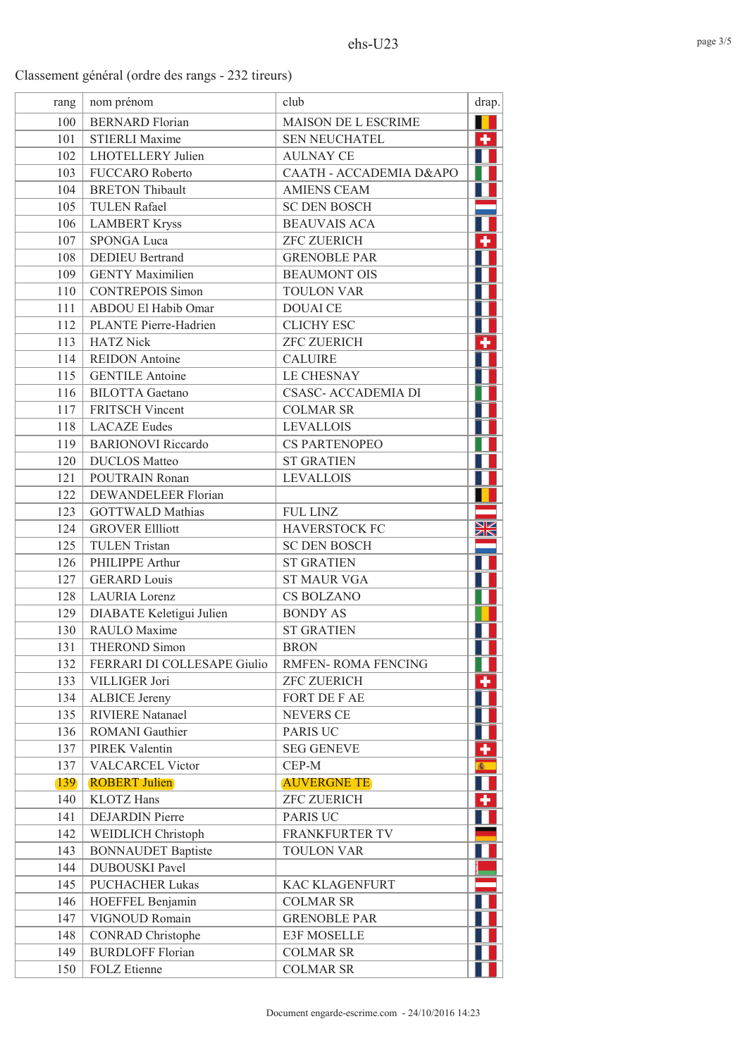| rang          | nom prénom                  | club                       | drap. |
|---------------|-----------------------------|----------------------------|-------|
| 100           | <b>BERNARD</b> Florian      | MAISON DE L ESCRIME        |       |
| 101           | <b>STIERLI Maxime</b>       | SEN NEUCHATEL              | ٠     |
| 102           | <b>LHOTELLERY Julien</b>    | <b>AULNAY CE</b>           |       |
| 103           | <b>FUCCARO</b> Roberto      | CAATH - ACCADEMIA D&APO    |       |
| 104           | <b>BRETON Thibault</b>      | <b>AMIENS CEAM</b>         |       |
| 105           | <b>TULEN Rafael</b>         | <b>SC DEN BOSCH</b>        |       |
| 106           | <b>LAMBERT Kryss</b>        | <b>BEAUVAIS ACA</b>        |       |
| 107           | <b>SPONGA Luca</b>          | <b>ZFC ZUERICH</b>         |       |
| 108           | <b>DEDIEU Bertrand</b>      | <b>GRENOBLE PAR</b>        |       |
| 109           | <b>GENTY Maximilien</b>     | <b>BEAUMONT OIS</b>        |       |
| 110           | <b>CONTREPOIS Simon</b>     | <b>TOULON VAR</b>          |       |
| 111           | ABDOU El Habib Omar         | <b>DOUAI</b> CE            |       |
| 112           | PLANTE Pierre-Hadrien       | <b>CLICHY ESC</b>          |       |
| 113           | <b>HATZ Nick</b>            | <b>ZFC ZUERICH</b>         |       |
| 114           | <b>REIDON</b> Antoine       | <b>CALUIRE</b>             |       |
| 115           | <b>GENTILE Antoine</b>      | <b>LE CHESNAY</b>          |       |
| 116           | <b>BILOTTA</b> Gaetano      | <b>CSASC- ACCADEMIA DI</b> |       |
| 117           | <b>FRITSCH Vincent</b>      | <b>COLMAR SR</b>           |       |
| 118           | <b>LACAZE</b> Eudes         | <b>LEVALLOIS</b>           |       |
| 119           | <b>BARIONOVI</b> Riccardo   | <b>CS PARTENOPEO</b>       |       |
| 120           | <b>DUCLOS</b> Matteo        | <b>ST GRATIEN</b>          |       |
| 121           | POUTRAIN Ronan              | <b>LEVALLOIS</b>           |       |
| 122           | <b>DEWANDELEER Florian</b>  |                            |       |
| 123           | <b>GOTTWALD Mathias</b>     | FUL LINZ                   |       |
| 124           | <b>GROVER Ellliott</b>      | <b>HAVERSTOCK FC</b>       | XK    |
| 125           | <b>TULEN Tristan</b>        | <b>SC DEN BOSCH</b>        |       |
| 126           | PHILIPPE Arthur             | <b>ST GRATIEN</b>          |       |
| 127           | <b>GERARD Louis</b>         | <b>ST MAUR VGA</b>         |       |
| 128           | <b>LAURIA</b> Lorenz        | <b>CS BOLZANO</b>          |       |
| 129           | DIABATE Keletigui Julien    | <b>BONDY AS</b>            |       |
| 130           | RAULO Maxime                | <b>ST GRATIEN</b>          |       |
| 131           | <b>THEROND Simon</b>        | <b>BRON</b>                |       |
| 132           | FERRARI DI COLLESAPE Giulio | <b>RMFEN- ROMA FENCING</b> |       |
| 133           | VILLIGER Jori               | <b>ZFC ZUERICH</b>         | ٠     |
| 134           | <b>ALBICE Jereny</b>        | FORT DE F AE               |       |
| 135           | <b>RIVIERE</b> Natanael     | <b>NEVERS CE</b>           |       |
| 136           | <b>ROMANI</b> Gauthier      | PARIS UC                   |       |
| 137           | PIREK Valentin              | <b>SEG GENEVE</b>          |       |
| 137           | <b>VALCARCEL Victor</b>     | CEP-M                      | 40    |
| $ 139\rangle$ | <b>ROBERT Julien</b>        | <b>AUVERGNE TE</b>         |       |
| 140           | <b>KLOTZ</b> Hans           | <b>ZFC ZUERICH</b>         | ٠     |
| 141           | <b>DEJARDIN</b> Pierre      | PARIS UC                   |       |
| 142           | WEIDLICH Christoph          | FRANKFURTER TV             |       |
| 143           | <b>BONNAUDET Baptiste</b>   | TOULON VAR                 |       |
| 144           | <b>DUBOUSKI</b> Pavel       |                            |       |
| 145           | <b>PUCHACHER Lukas</b>      | KAC KLAGENFURT             |       |
| 146           | HOEFFEL Benjamin            | <b>COLMAR SR</b>           |       |
| 147           | VIGNOUD Romain              | <b>GRENOBLE PAR</b>        |       |
| 148           | <b>CONRAD</b> Christophe    | E3F MOSELLE                |       |
| 149           | <b>BURDLOFF Florian</b>     | <b>COLMAR SR</b>           |       |
| 150           | FOLZ Etienne                | <b>COLMAR SR</b>           |       |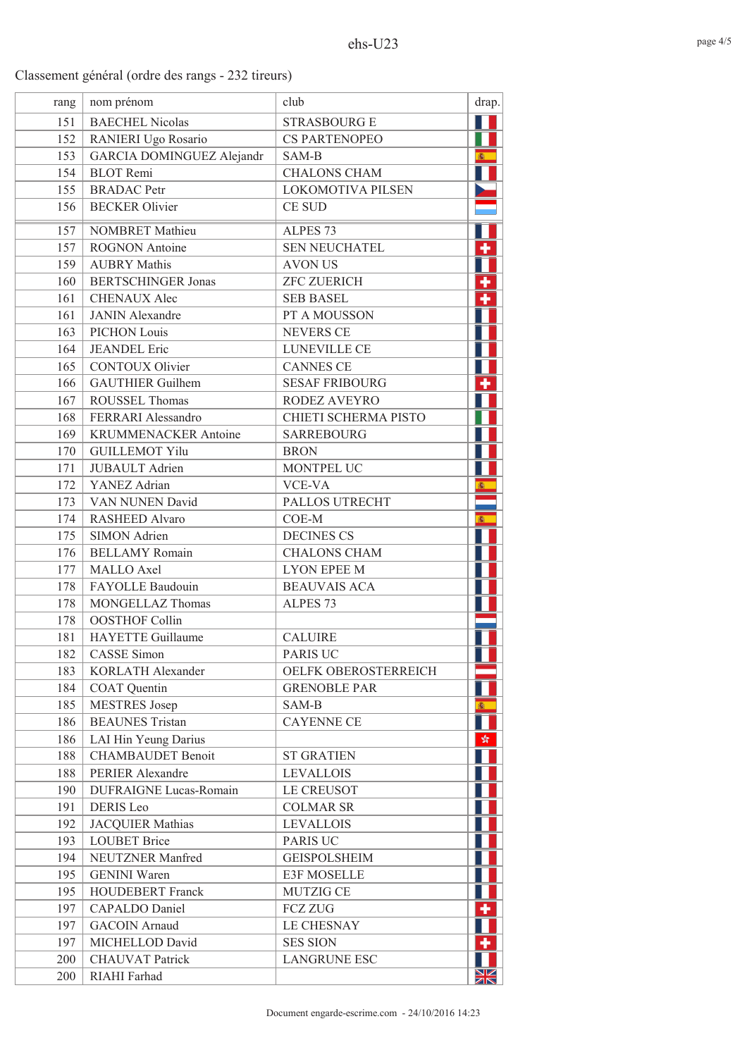| rang | nom prénom                    | club                     | drap. |
|------|-------------------------------|--------------------------|-------|
| 151  | <b>BAECHEL Nicolas</b>        | <b>STRASBOURG E</b>      |       |
| 152  | RANIERI Ugo Rosario           | <b>CS PARTENOPEO</b>     |       |
| 153  | GARCIA DOMINGUEZ Alejandr     | SAM-B                    |       |
| 154  | <b>BLOT</b> Remi              | <b>CHALONS CHAM</b>      |       |
| 155  | <b>BRADAC</b> Petr            | <b>LOKOMOTIVA PILSEN</b> |       |
| 156  | <b>BECKER</b> Olivier         | <b>CE SUD</b>            |       |
| 157  | <b>NOMBRET</b> Mathieu        | ALPES <sub>73</sub>      |       |
| 157  | <b>ROGNON</b> Antoine         | <b>SEN NEUCHATEL</b>     |       |
| 159  | <b>AUBRY Mathis</b>           | <b>AVON US</b>           |       |
| 160  | <b>BERTSCHINGER Jonas</b>     | <b>ZFC ZUERICH</b>       |       |
| 161  | <b>CHENAUX Alec</b>           | <b>SEB BASEL</b>         | ٠     |
| 161  | <b>JANIN</b> Alexandre        | PT A MOUSSON             |       |
| 163  | PICHON Louis                  | <b>NEVERS CE</b>         |       |
| 164  | <b>JEANDEL</b> Eric           | LUNEVILLE CE             |       |
| 165  | <b>CONTOUX Olivier</b>        | <b>CANNES CE</b>         |       |
| 166  | <b>GAUTHIER Guilhem</b>       | <b>SESAF FRIBOURG</b>    |       |
| 167  | ROUSSEL Thomas                | RODEZ AVEYRO             |       |
| 168  | FERRARI Alessandro            | CHIETI SCHERMA PISTO     |       |
| 169  | <b>KRUMMENACKER Antoine</b>   | <b>SARREBOURG</b>        |       |
| 170  | <b>GUILLEMOT Yilu</b>         | <b>BRON</b>              |       |
| 171  | <b>JUBAULT</b> Adrien         | MONTPEL UC               |       |
| 172  | YANEZ Adrian                  | <b>VCE-VA</b>            |       |
| 173  | VAN NUNEN David               | PALLOS UTRECHT           |       |
| 174  | RASHEED Alvaro                | $COE-M$                  |       |
| 175  | <b>SIMON Adrien</b>           | <b>DECINES CS</b>        |       |
| 176  | <b>BELLAMY</b> Romain         | <b>CHALONS CHAM</b>      |       |
| 177  | MALLO Axel                    | <b>LYON EPEE M</b>       |       |
| 178  | FAYOLLE Baudouin              | <b>BEAUVAIS ACA</b>      |       |
| 178  | MONGELLAZ Thomas              | ALPES <sub>73</sub>      |       |
| 178  | <b>OOSTHOF Collin</b>         |                          |       |
| 181  | <b>HAYETTE Guillaume</b>      | <b>CALUIRE</b>           |       |
| 182  | <b>CASSE</b> Simon            | PARIS UC                 |       |
| 183  | KORLATH Alexander             | OELFK OBEROSTERREICH     |       |
| 184  | <b>COAT</b> Quentin           | <b>GRENOBLE PAR</b>      |       |
| 185  | <b>MESTRES</b> Josep          | SAM-B                    |       |
| 186  | <b>BEAUNES Tristan</b>        | <b>CAYENNE CE</b>        |       |
| 186  | LAI Hin Yeung Darius          |                          | 踪     |
| 188  | <b>CHAMBAUDET Benoit</b>      | <b>ST GRATIEN</b>        |       |
| 188  | PERIER Alexandre              | <b>LEVALLOIS</b>         |       |
| 190  | <b>DUFRAIGNE Lucas-Romain</b> | LE CREUSOT               |       |
| 191  | <b>DERIS</b> Leo              | <b>COLMAR SR</b>         |       |
| 192  | <b>JACQUIER Mathias</b>       | <b>LEVALLOIS</b>         |       |
| 193  | <b>LOUBET Brice</b>           | PARIS UC                 |       |
| 194  | NEUTZNER Manfred              | <b>GEISPOLSHEIM</b>      |       |
| 195  | <b>GENINI</b> Waren           | <b>E3F MOSELLE</b>       |       |
| 195  | <b>HOUDEBERT</b> Franck       | <b>MUTZIG CE</b>         |       |
| 197  | CAPALDO Daniel                | <b>FCZ ZUG</b>           |       |
| 197  | <b>GACOIN</b> Arnaud          | LE CHESNAY               |       |
| 197  | MICHELLOD David               | <b>SES SION</b>          | ٠     |
| 200  | <b>CHAUVAT Patrick</b>        | <b>LANGRUNE ESC</b>      |       |
| 200  | RIAHI Farhad                  |                          | Ж     |